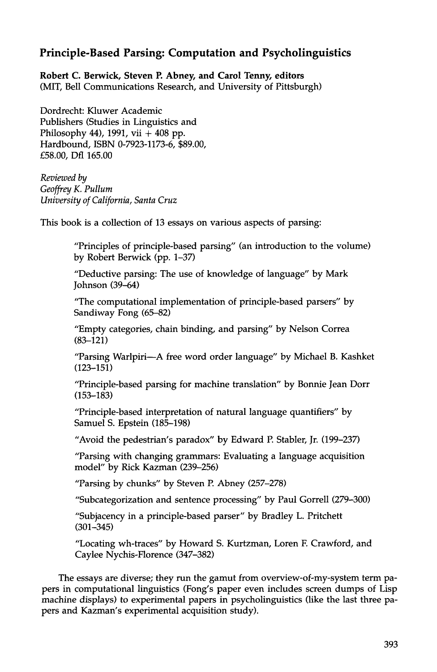## **Principle-Based Parsing: Computation and Psycholinguistics**

**Robert C. Berwick, Steven P. Abney, and Carol Tenny, editors**  (MIT, Bell Communications Research, and University of Pittsburgh)

Dordrecht: Kluwer Academic Publishers (Studies in Linguistics and Philosophy 44), 1991, vii  $+408$  pp. Hardbound, ISBN 0-7923-1173-6, \$89.00, £58.00, Dfl 165.00

*Reviewed by Geoffrey K. Pullum University of California, Santa Cruz* 

This book is a collection of 13 essays on various aspects of parsing:

"Principles of principle-based parsing" (an introduction to the volume) by Robert Berwick (pp. 1-37)

"Deductive parsing: The use of knowledge of language" by Mark Johnson (39-64)

"The computational implementation of principle-based parsers" by Sandiway Fong (65-82)

"Empty categories, chain binding, and parsing" by Nelson Correa (83-121)

"Parsing Warlpiri-A free word order language" by Michael B. Kashket (123-151)

"Principle-based parsing for machine translation" by Bonnie Jean Dorr (153-183)

"Principle-based interpretation of natural language quantifiers" by Samuel S. Epstein (185-198)

"Avoid the pedestrian's paradox" by Edward P. Stabler, Jr. (199-237)

"Parsing with changing grammars: Evaluating a language acquisition model" by Rick Kazman (239-256)

"Parsing by chunks" by Steven P. Abney (257-278)

"Subcategorization and sentence processing" by Paul Gorrell (279-300)

"Subjacency in a principle-based parser" by Bradley L. Pritchett (301-345)

"Locating wh-traces" by Howard S. Kurtzman, Loren E Crawford, and Caylee Nychis-Florence (347-382)

The essays are diverse; they run the gamut from overview-of-my-system term papers in computational linguistics (Fong's paper even includes screen dumps of Lisp machine displays) to experimental papers in psycholinguistics (like the last three papers and Kazman's experimental acquisition study).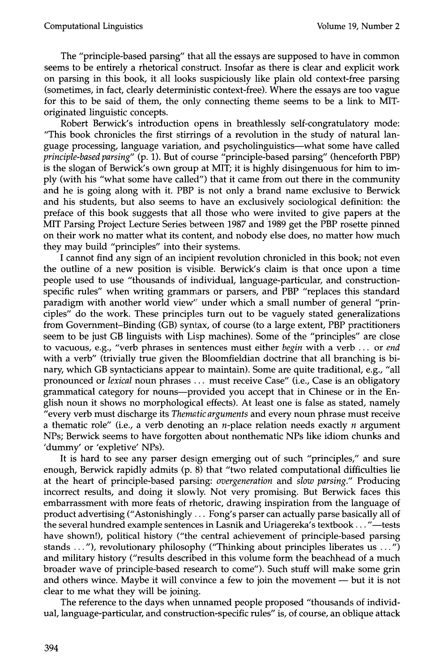The "principle-based parsing" that all the essays are supposed to have in common seems to be entirely a rhetorical construct. Insofar as there is clear and explicit work on parsing in this book, it all looks suspiciously like plain old context-free parsing (sometimes, in fact, clearly deterministic context-free). Where the essays are too vague for this to be said of them, the only connecting theme seems to be a link to MIToriginated linguistic concepts.

Robert Berwick's introduction opens in breathlessly self-congratulatory mode: "This book chronicles the first stirrings of a revolution in the study of natural language processing, language variation, and psycholinguistics—what some have called *principle-based parsing"* (p. 1). But of course "principle-based parsing" (henceforth PBP) is the slogan of Berwick's own group at MIT; it is highly disingenuous for him to imply (with his "what some have called") that it came from out there in the community and he is going along with it. PBP is not only a brand name exclusive to Berwick and his students, but also seems to have an exclusively sociological definition: the preface of this book suggests that all those who were invited to give papers at the MIT Parsing Project Lecture Series between 1987 and '1989 get the PBP rosette pinned on their work no matter what its content, and nobody else does, no matter how much they may build "principles" into their systems.

I cannot find any sign of an incipient revolution chronicled in this book; not even the outline of a new position is visible. Berwick's claim is that once upon a time people used to use "thousands of individual, language-particular, and constructionspecific rules" when writing grammars or parsers, and PBP "replaces this standard paradigm with another world view" under which a small number of general "principles" do the work. These principles turn out to be vaguely stated generalizations from Government-Binding (GB) syntax, of course (to a large extent, PBP practitioners seem to be just GB linguists with Lisp machines). Some of the "principles" are close to vacuous, e.g., "verb phrases in sentences must either *begin* with a verb ... or *end*  with a verb" (trivially true given the Bloomfieldian doctrine that all branching is binary, which GB syntacticians appear to maintain). Some are quite traditional, e.g., "all pronounced or *lexical* noun phrases ... must receive Case" (i.e., Case is an obligatory grammatical category for nouns--provided you accept that in Chinese or in the English noun it shows no morphological effects). At least one is false as stated, namely "every verb must discharge its *Thema'tic arguments* and every noun phrase must receive a thematic role" (i.e., a verb denoting an *n*-place relation needs exactly *n* argument NPs; Berwick seems to have forgotten about nonthematic NPs like idiom chunks and 'dummy' or 'expletive' NPs).

It is hard to see any parser design emerging out of such "principles," and sure enough, Berwick rapidly admits (p. 8) that "two related computational difficulties lie at the heart of principle-based parsing: *overgeneration* and *slow parsing."* Producing incorrect results, and doing it slowly. Not very promising. But Berwick faces this embarrassment with more feats of rhetoric, drawing inspiration from the language of product advertising ("Astonishingly ... Fong's parser can actually parse basically all of the several hundred example sentences in Lasnik and Uriagereka's textbook..."—tests have shown!), political history ("the central achievement of principle-based parsing stands ... "), revolutionary philosophy ("Thinking about principles liberates us ... ") and military history ("results described in this volume form the beachhead of a much broader wave of principle-based research to come"). Such stuff will make some grin and others wince. Maybe it will convince a few to join the movement  $-$  but it is not clear to me what they will be joining.

The reference to the days when unnamed people proposed "thousands of individual, language-particular, and construction-specific rules" is, of course, an oblique attack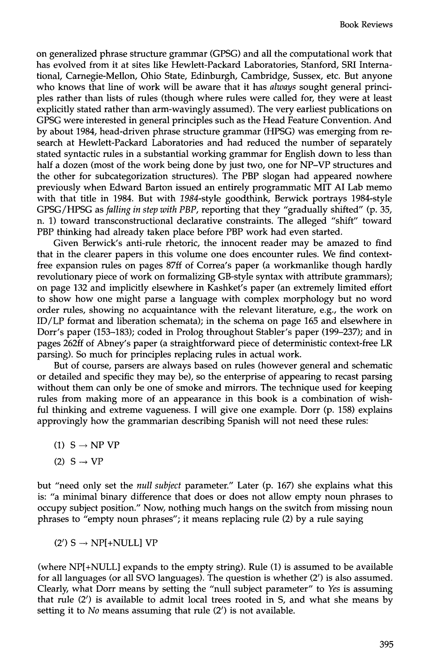on generalized phrase structure grammar (GPSG) and all the computational work that has evolved from it at sites like Hewlett-Packard Laboratories, Stanford, SRI International, Carnegie-Mellon, Ohio State, Edinburgh, Cambridge, Sussex, etc. But anyone who knows that line of work will be aware that it has *always* sought general principles rather than lists of rules (though where rules were called for, they were at least explicitly stated rather than arm-wavingly assumed). The very earliest publications on GPSG were interested in general principles such as the Head Feature Convention. And by about 1984, head-driven phrase structure grammar (HPSG) was emerging from research at Hewlett-Packard Laboratories and had reduced the number of separately stated syntactic rules in a substantial working grammar for English down to less than half a dozen (most of the work being done by just two, one for NP-VP structures and the other for subcategorization structures). The PBP slogan had appeared nowhere previously when Edward Barton issued an entirely programmatic MIT AI Lab memo with that title in 1984. But with *1984-style* goodthink, Berwick portrays 1984-style GPSG/HPSG as *falling in step with PBP,* reporting that they "gradually shifted" (p. 35, n. 1) toward transconstructional declarative constraints. The alleged "shift" toward PBP thinking had already taken place before PBP work had even started.

Given Berwick's anti-rule rhetoric, the innocent reader may be amazed to find that in the clearer papers in this volume one does encounter rules. We find contextfree expansion rules on pages 87ff of Correa's paper (a workmanlike though hardly revolutionary piece of work on formalizing GB-style syntax with attribute grammars); on page 132 and implicitly elsewhere in Kashket's paper (an extremely limited effort to show how one might parse a language with complex morphology but no word order rules, showing no acquaintance with the relevant literature, e.g., the work on ID/LP format and liberation schemata); in the schema on page 165 and elsewhere in Dorr's paper (153-183); coded in Prolog throughout Stabler's paper (199-237); and in pages 262ff of Abney's paper (a straightforward piece of deterministic context-free LR parsing). So much for principles replacing rules in actual work.

But of course, parsers are always based on rules (however general and schematic or detailed and specific they may be), so the enterprise of appearing to recast parsing without them can only be one of smoke and mirrors. The technique used for keeping rules from making more of an appearance in this book is a combination of wishful thinking and extreme vagueness. I will give one example. Dorr (p. 158) explains approvingly how the grammarian describing Spanish will not need these rules:

- (1)  $S \rightarrow NP VP$
- (2)  $S \rightarrow VP$

but "need only set the *null subject* parameter." Later (p. 167) she explains what this is: "a minimal binary difference that does or does not allow empty noun phrases to occupy subject position." Now, nothing much hangs on the switch from missing noun phrases to "empty noun phrases"; it means replacing rule (2) by a rule saying

(2') 
$$
S \rightarrow NP[+NULL]
$$
 VP

(where NP[+NULL] expands to the empty string). Rule (1) is assumed to be available for all languages (or all SVO languages). The question is whether (2') is also assumed. Clearly, what Dorr means by setting the "null subject parameter" to *Yes* is assuming that rule  $(2')$  is available to admit local trees rooted in S, and what she means by setting it to  $No$  means assuming that rule  $(2')$  is not available.